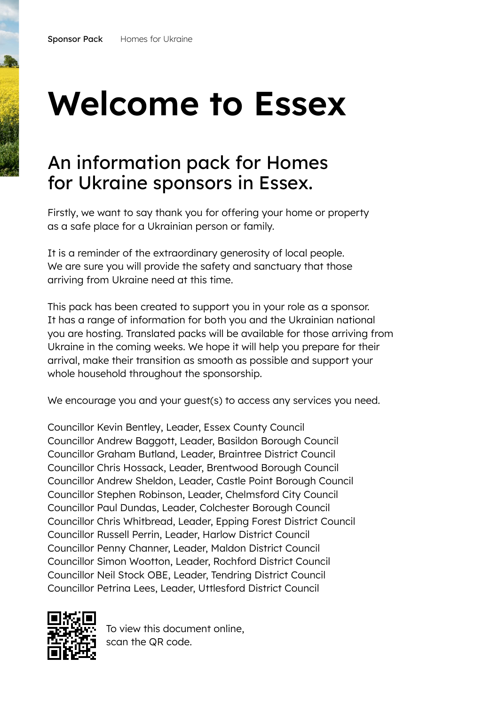# **Welcome to Essex**

# An information pack for Homes for Ukraine sponsors in Essex.

Firstly, we want to say thank you for offering your home or property as a safe place for a Ukrainian person or family.

It is a reminder of the extraordinary generosity of local people. We are sure you will provide the safety and sanctuary that those arriving from Ukraine need at this time.

This pack has been created to support you in your role as a sponsor. It has a range of information for both you and the Ukrainian national you are hosting. Translated packs will be available for those arriving from Ukraine in the coming weeks. We hope it will help you prepare for their arrival, make their transition as smooth as possible and support your whole household throughout the sponsorship.

We encourage you and your guest(s) to access any services you need.

Councillor Kevin Bentley, Leader, Essex County Council Councillor Andrew Baggott, Leader, Basildon Borough Council Councillor Graham Butland, Leader, Braintree District Council Councillor Chris Hossack, Leader, Brentwood Borough Council Councillor Andrew Sheldon, Leader, Castle Point Borough Council Councillor Stephen Robinson, Leader, Chelmsford City Council Councillor Paul Dundas, Leader, Colchester Borough Council Councillor Chris Whitbread, Leader, Epping Forest District Council Councillor Russell Perrin, Leader, Harlow District Council Councillor Penny Channer, Leader, Maldon District Council Councillor Simon Wootton, Leader, Rochford District Council Councillor Neil Stock OBE, Leader, Tendring District Council Councillor Petrina Lees, Leader, Uttlesford District Council



To view this document online, scan the QR code.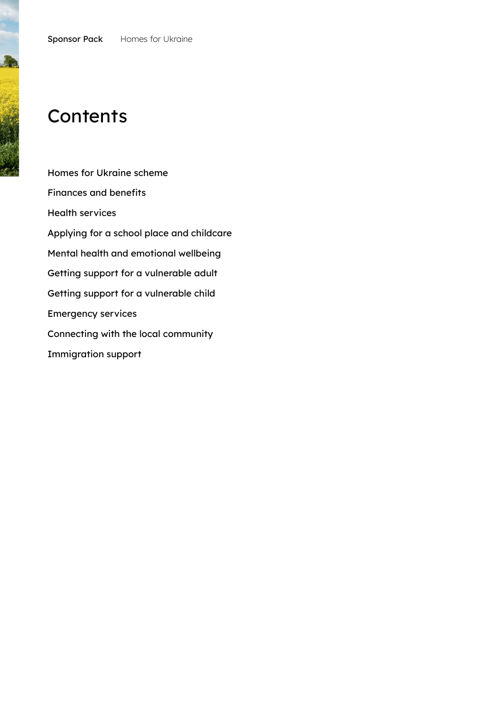# **Contents**

[Homes for Ukraine scheme](#page-2-0) [Finances and benefits](#page-3-0) [Health services](#page-4-0) [Applying for a school place and childcare](#page-5-0) [Mental health and emotional wellbeing](#page-6-0) [Getting support for a vulnerable adult](#page-7-0) [Getting support for a vulnerable child](#page-8-0) [Emergency services](#page-9-0) [Connecting with the local community](#page-11-0) [Immigration support](#page-12-0)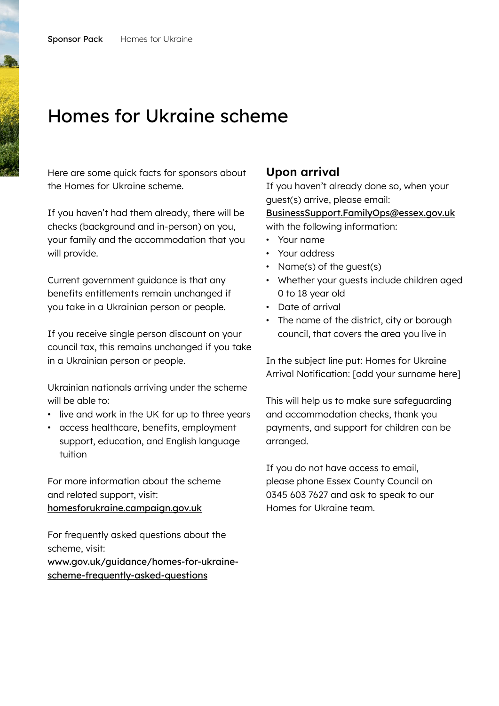# <span id="page-2-0"></span>Homes for Ukraine scheme

Here are some quick facts for sponsors about the Homes for Ukraine scheme.

If you haven't had them already, there will be checks (background and in-person) on you, your family and the accommodation that you will provide.

Current government guidance is that any benefits entitlements remain unchanged if you take in a Ukrainian person or people.

If you receive single person discount on your council tax, this remains unchanged if you take in a Ukrainian person or people.

Ukrainian nationals arriving under the scheme will be able to:

- live and work in the UK for up to three years
- access healthcare, benefits, employment support, education, and English language tuition

For more information about the scheme and related support, visit: [homesforukraine.campaign.gov.uk](https://homesforukraine.campaign.gov.uk)

For frequently asked questions about the scheme, visit:

[www.gov.uk/guidance/homes-for-ukraine](https://www.gov.uk/guidance/homes-for-ukraine-scheme-frequently-asked-questions)[scheme-frequently-asked-questions](https://www.gov.uk/guidance/homes-for-ukraine-scheme-frequently-asked-questions)

## **Upon arrival**

If you haven't already done so, when your guest(s) arrive, please email:

[BusinessSupport.FamilyOps@essex.gov.uk](mailto:BusinessSupport.FamilyOps%40essex.gov.uk?subject=) with the following information:

- Your name
- Your address
- Name(s) of the guest(s)
- Whether your guests include children aged 0 to 18 year old
- Date of arrival
- The name of the district, city or borough council, that covers the area you live in

In the subject line put: Homes for Ukraine Arrival Notification: [add your surname here]

This will help us to make sure safeguarding and accommodation checks, thank you payments, and support for children can be arranged.

If you do not have access to email, please phone Essex County Council on 0345 603 7627 and ask to speak to our Homes for Ukraine team.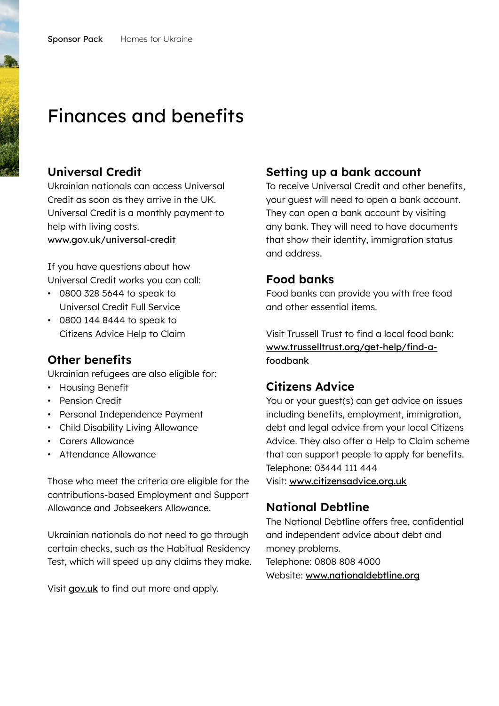# <span id="page-3-0"></span>Finances and benefits

#### **Universal Credit**

Ukrainian nationals can access Universal Credit as soon as they arrive in the UK. Universal Credit is a monthly payment to help with living costs.

[www.gov.uk/universal-credit](https://www.gov.uk/universal-credit)

If you have questions about how Universal Credit works you can call:

- 0800 328 5644 to speak to Universal Credit Full Service
- 0800 144 8444 to speak to Citizens Advice Help to Claim

## **Other benefits**

Ukrainian refugees are also eligible for:

- Housing Benefit
- Pension Credit
- Personal Independence Payment
- Child Disability Living Allowance
- Carers Allowance
- Attendance Allowance

Those who meet the criteria are eligible for the contributions-based Employment and Support Allowance and Jobseekers Allowance.

Ukrainian nationals do not need to go through certain checks, such as the Habitual Residency Test, which will speed up any claims they make.

Visit [gov.uk](http://gov.uk) to find out more and apply.

## **Setting up a bank account**

To receive Universal Credit and other benefits, your guest will need to open a bank account. They can open a bank account by visiting any bank. They will need to have documents that show their identity, immigration status and address.

#### **Food banks**

Food banks can provide you with free food and other essential items.

Visit Trussell Trust to find a local food bank: [www.trusselltrust.org/get-help/find-a](https://www.trusselltrust.org/get-help/find-a-foodbank/)[foodbank](https://www.trusselltrust.org/get-help/find-a-foodbank/)

## **Citizens Advice**

You or your guest(s) can get advice on issues including benefits, employment, immigration, debt and legal advice from your local Citizens Advice. They also offer a Help to Claim scheme that can support people to apply for benefits. Telephone: 03444 111 444 Visit: [www.citizensadvice.org.uk](https://www.citizensadvice.org.uk/)

#### **National Debtline**

The National Debtline offers free, confidential and independent advice about debt and money problems. Telephone: 0808 808 4000 Website: [www.nationaldebtline.org](https://www.nationaldebtline.org)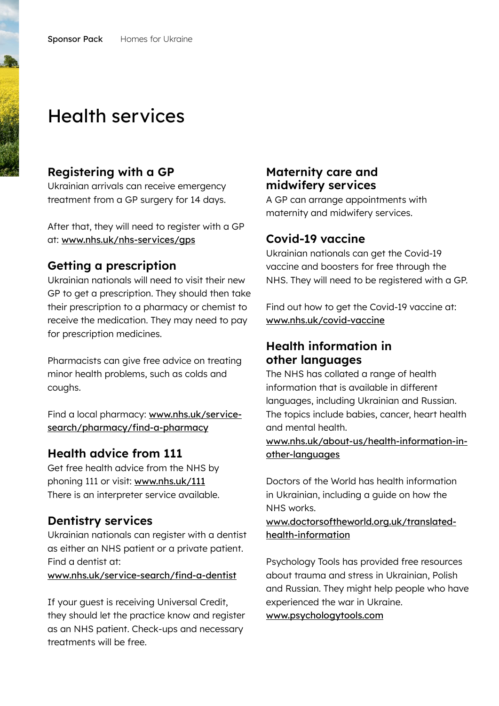# <span id="page-4-0"></span>Health services

## **Registering with a GP**

Ukrainian arrivals can receive emergency treatment from a GP surgery for 14 days.

After that, they will need to register with a GP at: [www.nhs.uk/nhs-services/gps](https://www.nhs.uk/nhs-services/gps/)

#### **Getting a prescription**

Ukrainian nationals will need to visit their new GP to get a prescription. They should then take their prescription to a pharmacy or chemist to receive the medication. They may need to pay for prescription medicines.

Pharmacists can give free advice on treating minor health problems, such as colds and coughs.

Find a local pharmacy: [www.nhs.uk/service](https://www.nhs.uk/service-search/pharmacy/find-a-pharmacy)[search/pharmacy/find-a-pharmacy](https://www.nhs.uk/service-search/pharmacy/find-a-pharmacy)

#### **Health advice from 111**

Get free health advice from the NHS by phoning 111 or visit: [www.nhs.uk/111](https://www.nhs.uk/nhs-services/urgent-and-emergency-care-services/when-to-use-111/) There is an interpreter service available.

#### **Dentistry services**

Ukrainian nationals can register with a dentist as either an NHS patient or a private patient. Find a dentist at: [www.nhs.uk/service-search/find-a-dentist](https://www.nhs.uk/service-search/find-a-dentist)

If your guest is receiving Universal Credit, they should let the practice know and register as an NHS patient. Check-ups and necessary treatments will be free.

## **Maternity care and midwifery services**

A GP can arrange appointments with maternity and midwifery services.

#### **Covid-19 vaccine**

Ukrainian nationals can get the Covid-19 vaccine and boosters for free through the NHS. They will need to be registered with a GP.

Find out how to get the Covid-19 vaccine at: [www.nhs.uk/covid-vaccine](https://www.nhs.uk/conditions/coronavirus-covid-19/coronavirus-vaccination/coronavirus-vaccine/)

## **Health information in other languages**

The NHS has collated a range of health information that is available in different languages, including Ukrainian and Russian. The topics include babies, cancer, heart health and mental health.

#### [www.nhs.uk/about-us/health-information-in](https://www.nhs.uk/about-us/health-information-in-other-languages/)[other-languages](https://www.nhs.uk/about-us/health-information-in-other-languages/)

Doctors of the World has health information in Ukrainian, including a guide on how the NHS works.

[www.doctorsoftheworld.org.uk/translated](http://www.doctorsoftheworld.org.uk/translated-health-information)[health-information](http://www.doctorsoftheworld.org.uk/translated-health-information)

Psychology Tools has provided free resources about trauma and stress in Ukrainian, Polish and Russian. They might help people who have experienced the war in Ukraine. [www.psychologytools.com](https://www.psychologytools.com)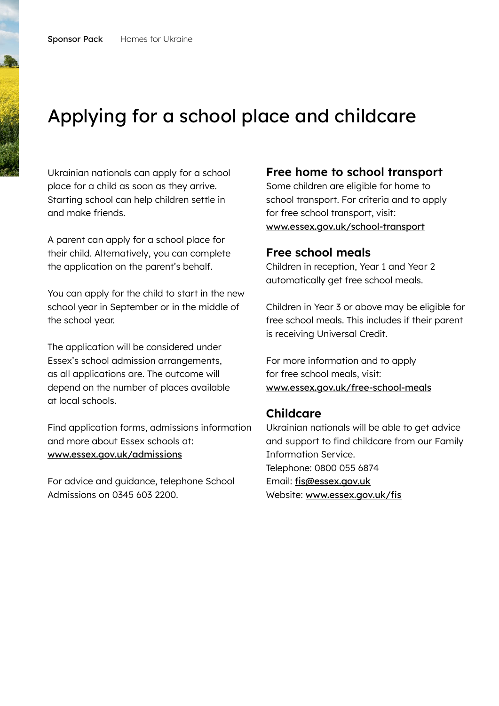# <span id="page-5-0"></span>Applying for a school place and childcare

Ukrainian nationals can apply for a school place for a child as soon as they arrive. Starting school can help children settle in and make friends.

A parent can apply for a school place for their child. Alternatively, you can complete the application on the parent's behalf.

You can apply for the child to start in the new school year in September or in the middle of the school year.

The application will be considered under Essex's school admission arrangements, as all applications are. The outcome will depend on the number of places available at local schools.

Find application forms, admissions information and more about Essex schools at: [www.essex.gov.uk/admissions](https://www.essex.gov.uk/topic/admissions)

For advice and guidance, telephone School Admissions on 0345 603 2200.

#### **Free home to school transport**

Some children are eligible for home to school transport. For criteria and to apply for free school transport, visit: [www.essex.gov.uk/school-transport](https://www.essex.gov.uk/school-transport)

#### **Free school meals**

Children in reception, Year 1 and Year 2 automatically get free school meals.

Children in Year 3 or above may be eligible for free school meals. This includes if their parent is receiving Universal Credit.

For more information and to apply for free school meals, visit: [www.essex.gov.uk/free-school-meals](https://www.essex.gov.uk/free-school-meals)

#### **Childcare**

Ukrainian nationals will be able to get advice and support to find childcare from our Family Information Service. Telephone: 0800 055 6874 Email: [fis@essex.gov.uk](mailto:fis%40essex.gov.uk?subject=) Website: [www.essex.gov.uk/fis](https://www.essex.gov.uk/find-a-childcare-provider/find-childcare)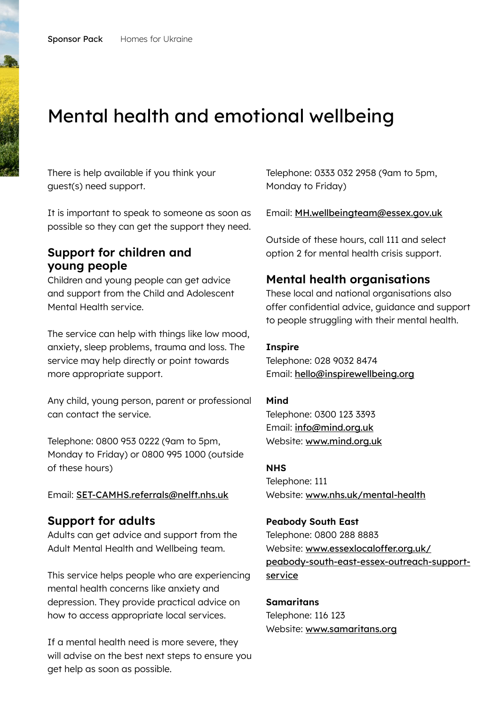# <span id="page-6-0"></span>Mental health and emotional wellbeing

There is help available if you think your guest(s) need support.

It is important to speak to someone as soon as possible so they can get the support they need.

## **Support for children and young people**

Children and young people can get advice and support from the Child and Adolescent Mental Health service.

The service can help with things like low mood, anxiety, sleep problems, trauma and loss. The service may help directly or point towards more appropriate support.

Any child, young person, parent or professional can contact the service.

Telephone: 0800 953 0222 (9am to 5pm, Monday to Friday) or 0800 995 1000 (outside of these hours)

Email: [SET-CAMHS.referrals@nelft.nhs.uk](mailto:SET-CAMHS.referrals%40nelft.nhs.uk?subject=)

#### **Support for adults**

Adults can get advice and support from the Adult Mental Health and Wellbeing team.

This service helps people who are experiencing mental health concerns like anxiety and depression. They provide practical advice on how to access appropriate local services.

If a mental health need is more severe, they will advise on the best next steps to ensure you get help as soon as possible.

Telephone: 0333 032 2958 (9am to 5pm, Monday to Friday)

Email: [MH.wellbeingteam@essex.gov.uk](mailto:MH.wellbeingteam%40essex.gov.uk?subject=)

Outside of these hours, call 111 and select option 2 for mental health crisis support.

#### **Mental health organisations**

These local and national organisations also offer confidential advice, guidance and support to people struggling with their mental health.

#### **Inspire**

Telephone: 028 9032 8474 Email: [hello@inspirewellbeing.org](mailto:hello%40inspirewellbeing.org?subject=)

**Mind** Telephone: 0300 123 3393 Email: [info@mind.org.uk](mailto:info%40mind.org.uk?subject=) Website: [www.mind.org.uk](https://www.mind.org.uk)

#### **NHS**

Telephone: 111 Website: [www.nhs.uk/mental-health](https://www.nhs.uk/mental-health/)

#### **Peabody South East**

Telephone: 0800 288 8883 Website: [www.essexlocaloffer.org.uk/](http://www.essexlocaloffer.org.uk/peabody-south-east-essex-outreach-support-service) peabody-south-east-essex-outreach-supportservice

**Samaritans** Telephone: 116 123 Website: [www.samaritans.org](https://www.samaritans.org)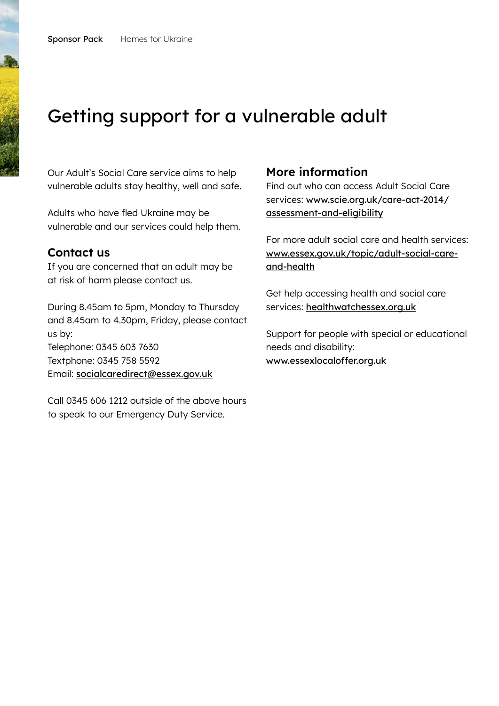# <span id="page-7-0"></span>Getting support for a vulnerable adult

Our Adult's Social Care service aims to help vulnerable adults stay healthy, well and safe.

Adults who have fled Ukraine may be vulnerable and our services could help them.

#### **Contact us**

If you are concerned that an adult may be at risk of harm please contact us.

During 8.45am to 5pm, Monday to Thursday and 8.45am to 4.30pm, Friday, please contact us by: Telephone: 0345 603 7630 Textphone: 0345 758 5592 Email: [socialcaredirect@essex.gov.uk](mailto:socialcaredirect%40essex.gov.uk?subject=)

Call 0345 606 1212 outside of the above hours to speak to our Emergency Duty Service.

## **More information**

Find out who can access Adult Social Care services: [www.scie.org.uk/care-act-2014/](http://www.scie.org.uk/care-act-2014/assessment-and-eligibility) assessment-and-eligibility

For more adult social care and health services: [www.essex.gov.uk/topic/adult-social-care](http://www.essex.gov.uk/topic/adult-social-care-and-health)and-health

Get help accessing health and social care services: [healthwatchessex.org.uk](https://healthwatchessex.org.uk)

Support for people with special or educational needs and disability: [www.essexlocaloffer.org.uk](http://www.essexlocaloffer.org.uk)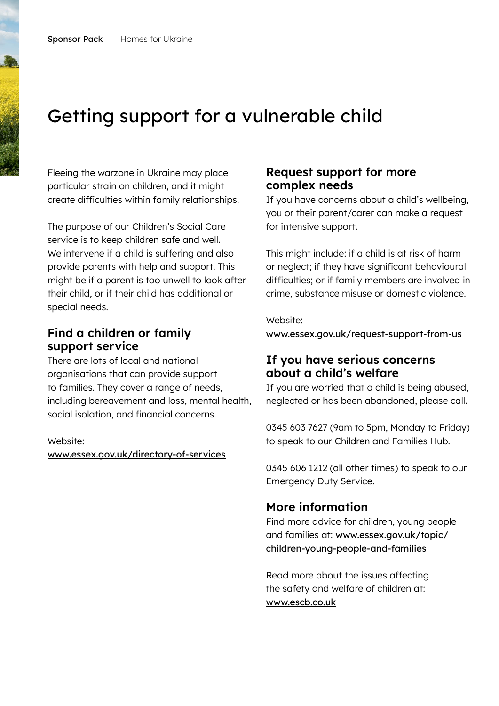# <span id="page-8-0"></span>Getting support for a vulnerable child

Fleeing the warzone in Ukraine may place particular strain on children, and it might create difficulties within family relationships.

The purpose of our Children's Social Care service is to keep children safe and well. We intervene if a child is suffering and also provide parents with help and support. This might be if a parent is too unwell to look after their child, or if their child has additional or special needs.

# **Find a children or family support service**

There are lots of local and national organisations that can provide support to families. They cover a range of needs, including bereavement and loss, mental health, social isolation, and financial concerns.

Website: [www.essex.gov.uk/directory-of-services](https://www.essex.gov.uk/directory-of-services)

#### **Request support for more complex needs**

If you have concerns about a child's wellbeing, you or their parent/carer can make a request for intensive support.

This might include: if a child is at risk of harm or neglect; if they have significant behavioural difficulties; or if family members are involved in crime, substance misuse or domestic violence.

Website:

[www.essex.gov.uk/request-support-from-us](https://www.essex.gov.uk/request-support-from-us)

## **If you have serious concerns about a child's welfare**

If you are worried that a child is being abused, neglected or has been abandoned, please call.

0345 603 7627 (9am to 5pm, Monday to Friday) to speak to our Children and Families Hub.

0345 606 1212 (all other times) to speak to our Emergency Duty Service.

#### **More information**

Find more advice for children, young people and families at: [www.essex.gov.uk/topic/](http://www.essex.gov.uk/topic/children-young-people-and-families) children-young-people-and-families

Read more about the issues affecting the safety and welfare of children at: [www.escb.co.uk](https://www.escb.co.uk)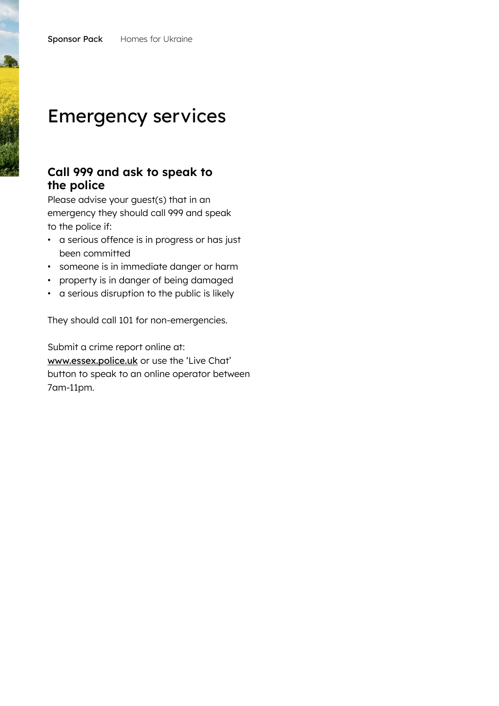# <span id="page-9-0"></span>Emergency services

# **Call 999 and ask to speak to the police**

Please advise your guest(s) that in an emergency they should call 999 and speak to the police if:

- a serious offence is in progress or has just been committed
- someone is in immediate danger or harm
- property is in danger of being damaged
- a serious disruption to the public is likely

They should call 101 for non-emergencies.

Submit a crime report online at: [www.essex.police.uk](https://www.essex.police.uk) or use the 'Live Chat' button to speak to an online operator between 7am-11pm.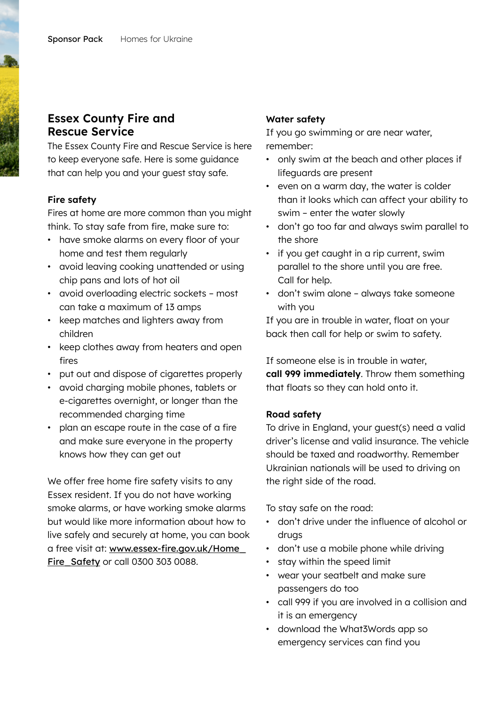## **Essex County Fire and Rescue Service**

The Essex County Fire and Rescue Service is here to keep everyone safe. Here is some guidance that can help you and your guest stay safe.

#### **Fire safety**

Fires at home are more common than you might think. To stay safe from fire, make sure to:

- have smoke alarms on every floor of your home and test them regularly
- avoid leaving cooking unattended or using chip pans and lots of hot oil
- avoid overloading electric sockets most can take a maximum of 13 amps
- keep matches and lighters away from children
- keep clothes away from heaters and open fires
- put out and dispose of cigarettes properly
- avoid charging mobile phones, tablets or e-cigarettes overnight, or longer than the recommended charging time
- plan an escape route in the case of a fire and make sure everyone in the property knows how they can get out

We offer free home fire safety visits to any Essex resident. If you do not have working smoke alarms, or have working smoke alarms but would like more information about how to live safely and securely at home, you can book a free visit at: [www.essex-fire.gov.uk/Home\\_](http://www.essex-fire.gov.uk/Home_Fire_Safety) Fire\_Safety or call 0300 303 0088.

#### **Water safety**

If you go swimming or are near water, remember:

- only swim at the beach and other places if lifeguards are present
- even on a warm day, the water is colder than it looks which can affect your ability to swim – enter the water slowly
- don't go too far and always swim parallel to the shore
- if you get caught in a rip current, swim parallel to the shore until you are free. Call for help.
- don't swim alone always take someone with you

If you are in trouble in water, float on your back then call for help or swim to safety.

If someone else is in trouble in water, **call 999 immediately**. Throw them something that floats so they can hold onto it.

#### **Road safety**

To drive in England, your guest(s) need a valid driver's license and valid insurance. The vehicle should be taxed and roadworthy. Remember Ukrainian nationals will be used to driving on the right side of the road.

To stay safe on the road:

- don't drive under the influence of alcohol or druas
- don't use a mobile phone while driving
- stay within the speed limit
- wear your seatbelt and make sure passengers do too
- call 999 if you are involved in a collision and it is an emergency
- download the What3Words app so emergency services can find you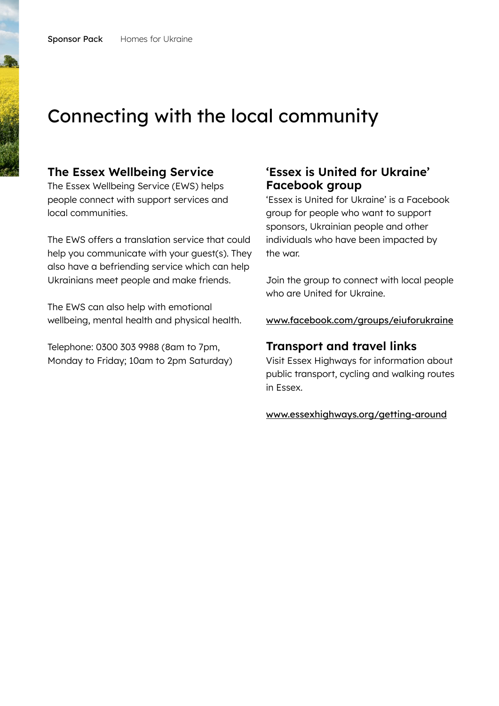# <span id="page-11-0"></span>Connecting with the local community

#### **The Essex Wellbeing Service**

The Essex Wellbeing Service (EWS) helps people connect with support services and local communities.

The EWS offers a translation service that could help you communicate with your guest(s). They also have a befriending service which can help Ukrainians meet people and make friends.

The EWS can also help with emotional wellbeing, mental health and physical health.

Telephone: 0300 303 9988 (8am to 7pm, Monday to Friday; 10am to 2pm Saturday)

## **'Essex is United for Ukraine' Facebook group**

'Essex is United for Ukraine' is a Facebook group for people who want to support sponsors, Ukrainian people and other individuals who have been impacted by the war.

Join the group to connect with local people who are United for Ukraine.

[www.facebook.com/groups/eiuforukraine](https://www.facebook.com/groups/eiuforukraine)

#### **Transport and travel links**

Visit Essex Highways for information about public transport, cycling and walking routes in Essex.

[www.essexhighways.org/getting-around](http://www.essexhighways.org/getting-around)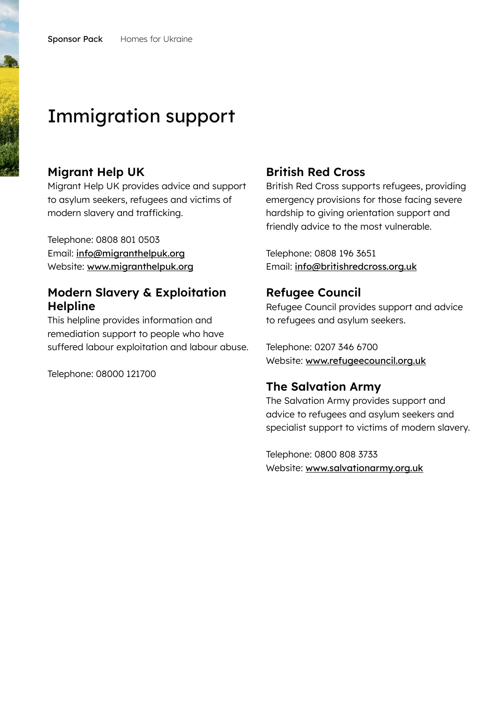# <span id="page-12-0"></span>Immigration support

#### **Migrant Help UK**

Migrant Help UK provides advice and support to asylum seekers, refugees and victims of modern slavery and trafficking.

Telephone: 0808 801 0503 Email: [info@migranthelpuk.org](mailto:info%40migranthelpuk.org?subject=) Website: [www.migranthelpuk.org](https://www.migranthelpuk.org)

## **Modern Slavery & Exploitation Helpline**

This helpline provides information and remediation support to people who have suffered labour exploitation and labour abuse.

Telephone: 08000 121700

## **British Red Cross**

British Red Cross supports refugees, providing emergency provisions for those facing severe hardship to giving orientation support and friendly advice to the most vulnerable.

Telephone: 0808 196 3651 Email: [info@britishredcross.org.uk](mailto:info%40britishredcross.org.uk?subject=)

### **Refugee Council**

Refugee Council provides support and advice to refugees and asylum seekers.

Telephone: 0207 346 6700 Website: [www.refugeecouncil.org.uk](https://www.refugeecouncil.org.uk/?doing_wp_cron=1648456177.4106950759887695312500)

#### **The Salvation Army**

The Salvation Army provides support and advice to refugees and asylum seekers and specialist support to victims of modern slavery.

Telephone: 0800 808 3733 Website: [www.salvationarmy.org.uk](https://www.salvationarmy.org.uk)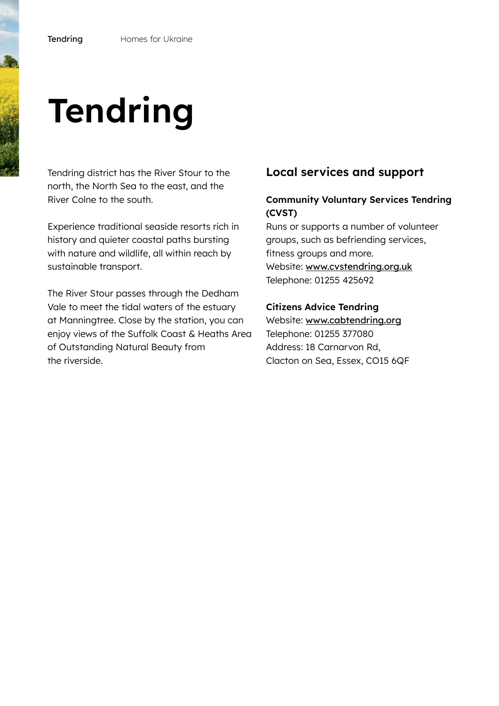# **Tendring**

Tendring district has the River Stour to the north, the North Sea to the east, and the River Colne to the south.

Experience traditional seaside resorts rich in history and quieter coastal paths bursting with nature and wildlife, all within reach by sustainable transport.

The River Stour passes through the Dedham Vale to meet the tidal waters of the estuary at Manningtree. Close by the station, you can enjoy views of the Suffolk Coast & Heaths Area of Outstanding Natural Beauty from the riverside.

## **Local services and support**

#### **Community Voluntary Services Tendring (CVST)**

Runs or supports a number of volunteer groups, such as befriending services, fitness groups and more. Website: [www.cvstendring.org.uk](http://www.cvstendring.org.uk) Telephone: 01255 425692

#### **Citizens Advice Tendring**

Website: [www.cabtendring.org](http://www.cabtendring.org) Telephone: 01255 377080 Address: 18 Carnarvon Rd, Clacton on Sea, Essex, CO15 6QF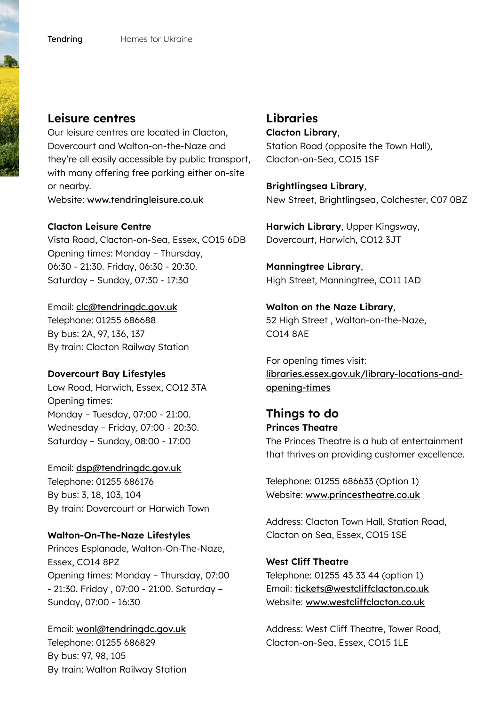#### **Leisure centres**

Our leisure centres are located in Clacton, Dovercourt and Walton-on-the-Naze and they're all easily accessible by public transport, with many offering free parking either on-site or nearby. Website: [www.tendringleisure.co.uk](https://www.tendringleisure.co.uk)

**Clacton Leisure Centre**

Vista Road, Clacton-on-Sea, Essex, CO15 6DB Opening times: Monday – Thursday, 06:30 - 21:30. Friday, 06:30 - 20:30. Saturday – Sunday, 07:30 - 17:30

Email: [clc@tendringdc.gov.uk](mailto:clc%40tendringdc.gov.uk?subject=) Telephone: 01255 686688 By bus: 2A, 97, 136, 137 By train: Clacton Railway Station

**Dovercourt Bay Lifestyles** Low Road, Harwich, Essex, CO12 3TA Opening times: Monday – Tuesday, 07:00 - 21:00. Wednesday – Friday, 07:00 - 20:30. Saturday – Sunday, 08:00 - 17:00

Email: [dsp@tendringdc.gov.uk](mailto:dsp%40tendringdc.gov.uk?subject=) Telephone: 01255 686176 By bus: 3, 18, 103, 104 By train: Dovercourt or Harwich Town

#### **Walton-On-The-Naze Lifestyles**

Princes Esplanade, Walton-On-The-Naze, Essex, CO14 8PZ Opening times: Monday – Thursday, 07:00 - 21:30. Friday , 07:00 - 21:00. Saturday – Sunday, 07:00 - 16:30

Email: [wonl@tendringdc.gov.uk](mailto:wonl%40tendringdc.gov.uk?subject=) Telephone: 01255 686829 By bus: 97, 98, 105 By train: Walton Railway Station

# **Libraries**

**Clacton Library**,

Station Road (opposite the Town Hall), Clacton-on-Sea, CO15 1SF

**Brightlingsea Library**, New Street, Brightlingsea, Colchester, C07 0BZ

**Harwich Library**, Upper Kingsway, Dovercourt, Harwich, CO12 3JT

**Manningtree Library**, High Street, Manningtree, CO11 1AD

**Walton on the Naze Library**, 52 High Street , Walton-on-the-Naze, CO14 8AE

For opening times visit: [libraries.essex.gov.uk/library-locations-and](https://libraries.essex.gov.uk/library-locations-and-opening-times)opening-times

**Things to do Princes Theatre** The Princes Theatre is a hub of entertainment that thrives on providing customer excellence.

Telephone: 01255 686633 (Option 1) Website: [www.princestheatre.co.uk](https://www.princestheatre.co.uk)

Address: Clacton Town Hall, Station Road, Clacton on Sea, Essex, CO15 1SE

**West Cliff Theatre** Telephone: 01255 43 33 44 (option 1) Email: [tickets@westcliffclacton.co.uk](mailto:tickets%40westcliffclacton.co.uk?subject=) Website: [www.westcliffclacton.co.uk](https://www.westcliffclacton.co.uk)

Address: West Cliff Theatre, Tower Road, Clacton-on-Sea, Essex, CO15 1LE